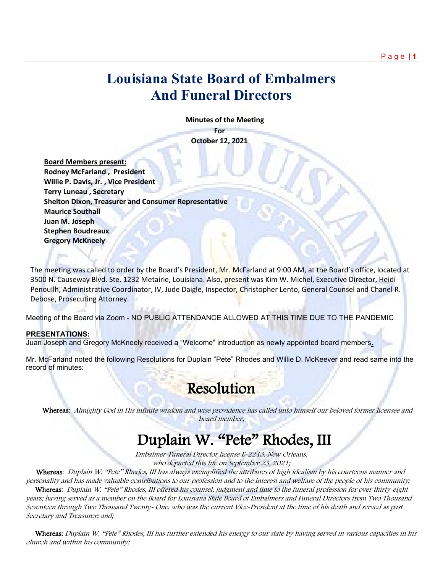## **Louisiana State Board of Embalmers And Funeral Directors**

 **Minutes of the Meeting**

**For October 12, 2021**

 **Board Members present: Rodney McFarland , President Willie P. Davis, Jr. , Vice President Terry Luneau , Secretary Shelton Dixon, Treasurer and Consumer Representative Maurice Southall Juan M. Joseph Stephen Boudreaux Gregory McKneely**

The meeting was called to order by the Board's President, Mr. McFarland at 9:00 AM, at the Board's office, located at 3500 N. Causeway Blvd. Ste. 1232 Metairie, Louisiana. Also, present was Kim W. Michel, Executive Director, Heidi Penouilh, Administrative Coordinator, IV, Jude Daigle, Inspector, Christopher Lento, General Counsel and Chanel R. Debose, Prosecuting Attorney.

Meeting of the Board via Zoom - NO PUBLIC ATTENDANCE ALLOWED AT THIS TIME DUE TO THE PANDEMIC

#### **PRESENTATIONS:**

Juan Joseph and Gregory McKneely received a "Welcome" introduction as newly appointed board members**.**

Mr. McFarland noted the following Resolutions for Duplain "Pete" Rhodes and Willie D. McKeever and read same into the record of minutes:

## Resolution

 Whereas: Almighty God in His infinite wisdom and wise providence has called unto himself our beloved former licensee and board member,

## Duplain W. "Pete" Rhodes, III

Embalmer-Funeral Director license E-2243, New Orleans, who departed this life on September 23, 2021;

 Whereas: Duplain W. "Pete" Rhodes, III has always exemplified the attributes of high idealism by his courteous manner and personality and has made valuable contributions to our profession and to the interest and welfare of the people of his community; Whereas: Duplain W. "Pete" Rhodes, III offered his counsel, judgment and time to the funeral profession for over thirty-eight years; having served as a member on the Board for Louisiana State Board of Embalmers and Funeral Directors from Two Thousand Seventeen through Two Thousand Twenty- One, who was the current Vice-President at the time of his death and served as past Secretary and Treasurer; and;

Whereas: Duplain W. "Pete" Rhodes, III has further extended his energy to our state by having served in various capacities in his church and within his community;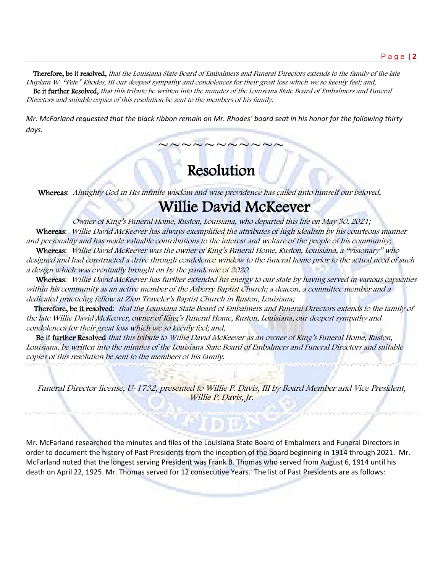Therefore, be it resolved, that the Louisiana State Board of Embalmers and Funeral Directors extends to the family of the late Duplain W. "Pete" Rhodes, III our deepest sympathy and condolences for their great loss which we so keenly feel; and, Be it further Resolved, that this tribute be written into the minutes of the Louisiana State Board of Embalmers and Funeral Directors and suitable copies of this resolution be sent to the members of his family.

*Mr. McFarland requested that the black ribbon remain on Mr. Rhodes' board seat in his honor for the following thirty days.*

# Resolution

~~~~~~~~~

Whereas: Almighty God in His infinite wisdom and wise providence has called unto himself our beloved,

# Willie David McKeever

Owner of King's Funeral Home, Ruston, Louisiana, who departed this life on May 30, 2021; Whereas: Willie David McKeever has always exemplified the attributes of high idealism by his courteous manner and personality and has made valuable contributions to the interest and welfare of the people of his community;

Whereas: Willie David McKeever was the owner of King's Funeral Home, Ruston, Louisiana, a "visionary" who designed and had constructed a drive through condolence window to the funeral home prior to the actual need of such a design which was eventually brought on by the pandemic of 2020.

Whereas: Willie David McKeever has further extended his energy to our state by having served in various capacities within his community as an active member of the Asberry Baptist Church; a deacon, a committee member and a dedicated practicing fellow at Zion Traveler's Baptist Church in Ruston, Louisiana;

 Therefore, be it resolved: that the Louisiana State Board of Embalmers and Funeral Directors extends to the family of the late Willie David McKeever, owner of King's Funeral Home, Ruston, Louisiana, our deepest sympathy and condolences for their great loss which we so keenly feel; and,

Be it further Resolved that this tribute to Willie David McKeever as an owner of King's Funeral Home, Ruston, Louisiana, be written into the minutes of the Louisiana State Board of Embalmers and Funeral Directors and suitable copies of this resolution be sent to the members of his family.

Funeral Director license, U-1732, presented to Willie P. Davis, III by Board Member and Vice President, Willie P. Davis, Jr.

Mr. McFarland researched the minutes and files of the Louisiana State Board of Embalmers and Funeral Directors in order to document the history of Past Presidents from the inception of the board beginning in 1914 through 2021. Mr. McFarland noted that the longest serving President was Frank B. Thomas who served from August 6, 1914 until his death on April 22, 1925. Mr. Thomas served for 12 consecutive Years. The list of Past Presidents are as follows: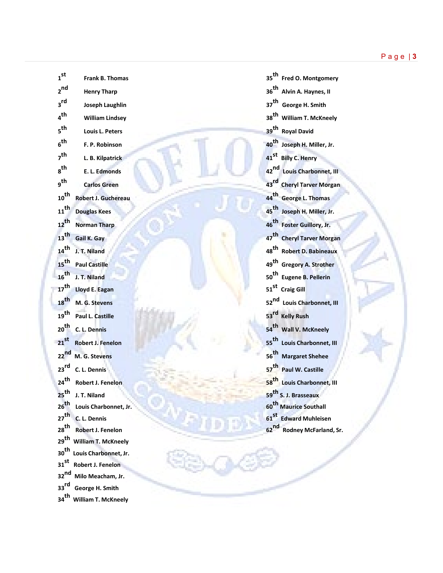| 1 <sub>st</sub>                      | Frank B. Thomas                               |                  | 35 <sup>th</sup> Fred O. Montgome     |
|--------------------------------------|-----------------------------------------------|------------------|---------------------------------------|
| 2 <sub>nd</sub>                      | <b>Henry Tharp</b>                            |                  | 36 <sup>th</sup> Alvin A. Haynes, II  |
| 3 <sup>rd</sup>                      | <b>Joseph Laughlin</b>                        |                  | 37 <sup>th</sup> George H. Smith      |
| 4 <sup>th</sup>                      | <b>William Lindsey</b>                        |                  | 38 <sup>th</sup> William T. McKnee    |
| 5 <sup>th</sup>                      | Louis L. Peters                               |                  | 39 <sup>th</sup> Royal David          |
| 6 <sup>th</sup>                      | F. P. Robinson                                |                  | 40 <sup>th</sup> Joseph H. Miller, Jr |
| 7 <sup>th</sup>                      | L. B. Kilpatrick                              |                  | 41 <sup>st</sup> Billy C. Henry       |
| $a^{th}$                             | E. L. Edmonds                                 |                  | 42 <sup>nd</sup> Louis Charbonnet,    |
| g <sup>th</sup>                      | <b>Carlos Green</b>                           |                  | 43rd Cheryl Tarver Morg               |
| $10^{th}$                            | <b>Robert J. Guchereau</b>                    |                  | 44 <sup>th</sup> George L. Thomas     |
| $11$ <sup>th</sup>                   | <b>Douglas Kees</b>                           |                  | 45 <sup>th</sup> Joseph H. Miller, Jr |
| $12$ <sup>th</sup>                   | <b>Norman Tharp</b>                           |                  | 46 <sup>th</sup> Foster Guillory, Jr. |
| $13$ <sup>th</sup>                   | Gail K. Gay                                   |                  | 47 <sup>th</sup> Cheryl Tarver Mor    |
| $14$ <sup>th</sup>                   | J. T. Niland                                  |                  | 48 <sup>th</sup> Robert D. Babinea    |
| $15$ <sup>th</sup>                   | <b>Paul Castille</b>                          |                  | 49 <sup>th</sup> Gregory A. Strothe   |
| $16^{th}$                            | J. T. Niland                                  |                  | 50 <sup>th</sup> Eugene B. Pellerin   |
|                                      | 17 <sup>th</sup> Lloyd E. Eagan               |                  | 51 <sup>st</sup> Craig Gill           |
| $18$ <sup>th</sup>                   | M. G. Stevens                                 |                  | 52 <sup>nd</sup> Louis Charbonnet,    |
| 19 <sup>th</sup>                     | Paul L. Castille                              |                  | 53 <sup>rd</sup> Kelly Rush           |
| 20 <sup>th</sup>                     | C. L. Dennis                                  |                  | 54 <sup>th</sup> Wall V. McKneely     |
| $21^{st}$                            | <b>Robert J. Fenelon</b>                      |                  | 55 <sup>th</sup> Louis Charbonnet,    |
| $22$ <sup>nd</sup>                   | M. G. Stevens                                 |                  | 56 <sup>th</sup> Margaret Shehee      |
|                                      | 23 <sup>rd</sup> C. L. Dennis                 |                  | 57 <sup>th</sup> Paul W. Castille     |
| $24$ <sup>th</sup>                   | <b>Robert J. Fenelon</b>                      |                  | 58 <sup>th</sup> Louis Charbonnet,    |
| $25$ <sup>th</sup>                   | J. T. Niland                                  |                  | 59 <sup>th</sup> S. J. Brasseaux      |
| $26$ <sup>th</sup>                   | Louis Charbonnet, Jr.                         |                  | 60 <sup>th</sup> Maurice Southall     |
| $27$ <sup>th</sup>                   | C. L. Dennis                                  |                  | 61 <sup>st</sup> Edward Muhleisen     |
| $28$ <sup>th</sup>                   | <b>Robert J. Fenelon</b>                      | 62 <sup>nd</sup> | <b>Rodney McFarland</b>               |
| 29 <sup>th</sup>                     | <b>William T. McKneely</b>                    |                  |                                       |
| 30 <sup>th</sup><br>31 <sup>st</sup> | Louis Charbonnet, Jr.                         |                  |                                       |
| 32 <sub>nd</sub>                     | <b>Robert J. Fenelon</b><br>Milo Meacham, Jr. |                  |                                       |
| $33$ rd                              | <b>George H. Smith</b>                        |                  |                                       |
| $34$ <sup>th</sup>                   | <b>William T. McKneely</b>                    |                  |                                       |
|                                      |                                               |                  |                                       |

| $1^{\mathsf{st}}$          | <b>Frank B. Thomas</b>     | 35 <sup>th</sup> Fred O. Montgomery    |
|----------------------------|----------------------------|----------------------------------------|
| 2 <sup>nd</sup>            | <b>Henry Tharp</b>         | 36 <sup>th</sup> Alvin A. Haynes, II   |
| $\mathsf{a}^{\mathsf{rd}}$ | <b>Joseph Laughlin</b>     | 37 <sup>th</sup> George H. Smith       |
| 4 <sup>th</sup>            | <b>William Lindsey</b>     | 38 <sup>th</sup> William T. McKneely   |
| <sub>5</sub> th            | Louis L. Peters            | 39 <sup>th</sup> Royal David           |
| $6^{\text{th}}$            | F. P. Robinson             | 40 <sup>th</sup> Joseph H. Miller, Jr. |
| <sub>7</sub> th            | L. B. Kilpatrick           | 41 <sup>st</sup> Billy C. Henry        |
| $\rm _8$ th                | E. L. Edmonds              | 42nd Louis Charbonnet, III             |
| <sub>g</sub> th            | <b>Carlos Green</b>        | 43rd Cheryl Tarver Morgan              |
| $10^{\sf th}$              | <b>Robert J. Guchereau</b> | 44 <sup>th</sup> George L. Thomas      |
| $11^{\text{th}}$           | <b>Douglas Kees</b>        | 45 <sup>th</sup> Joseph H. Miller, Jr. |
| $12^{th}$                  | <b>Norman Tharp</b>        | 46 <sup>th</sup> Foster Guillory, Jr.  |
| $13^{\text{th}}$           | Gail K. Gay                | 47 <sup>th</sup> Cheryl Tarver Morgan  |
| $14$ <sup>th</sup>         | J. T. Niland               | 48 <sup>th</sup> Robert D. Babineaux   |
| $15$ <sup>th</sup>         | <b>Paul Castille</b>       | 49 <sup>th</sup> Gregory A. Strother   |
| $16^{\text{th}}$           | J. T. Niland               | 50 <sup>th</sup> Eugene B. Pellerin    |
| $17^{th}$                  | Lloyd E. Eagan             | 51 <sup>st</sup> Craig Gill            |
| $18$ <sup>th</sup>         | M. G. Stevens              | 52 <sup>nd</sup> Louis Charbonnet, III |
| $19^{\sf th}$              | Paul L. Castille           | 53 <sup>rd</sup> Kelly Rush            |
| 20 <sup>th</sup>           | C. L. Dennis               | 54 <sup>th</sup> Wall V. McKneely      |
| $\mathsf{21}^\mathsf{st}$  | <b>Robert J. Fenelon</b>   | 55 <sup>th</sup> Louis Charbonnet, III |
| 22 <sup>nd</sup>           | M. G. Stevens              | 56 <sup>th</sup> Margaret Shehee       |
| 23 <sup>rd</sup>           | C. L. Dennis               | 57 <sup>th</sup> Paul W. Castille      |
| 24 <sup>th</sup>           | <b>Robert J. Fenelon</b>   | 58 <sup>th</sup> Louis Charbonnet, III |
| 25 <sup>th</sup>           | J. T. Niland               | 59 <sup>th</sup> S. J. Brasseaux       |
| 26 <sup>th</sup>           | Louis Charbonnet, Jr.      | 60 <sup>th</sup> Maurice Southall      |
| 27 <sup>th</sup>           | C. L. Dennis               | 61 <sup>st</sup> Edward Muhleisen      |
| 28 <sup>th</sup>           | <b>Robert J. Fenelon</b>   | 62 <sup>nd</sup> Rodney McFarland, Sr. |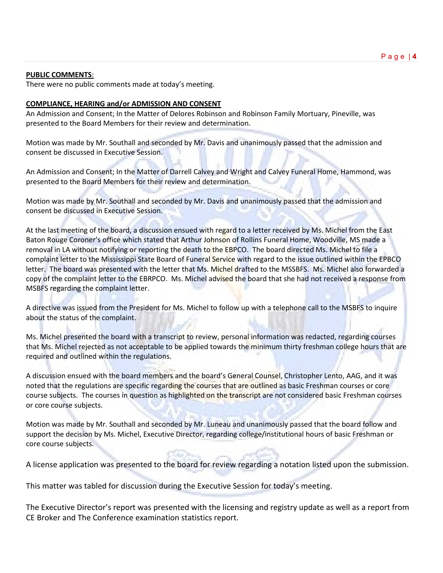#### **PUBLIC COMMENTS**:

There were no public comments made at today's meeting.

#### **COMPLIANCE, HEARING and/or ADMISSION AND CONSENT**

An Admission and Consent; In the Matter of Delores Robinson and Robinson Family Mortuary, Pineville, was presented to the Board Members for their review and determination.

Motion was made by Mr. Southall and seconded by Mr. Davis and unanimously passed that the admission and consent be discussed in Executive Session.

An Admission and Consent; In the Matter of Darrell Calvey and Wright and Calvey Funeral Home, Hammond, was presented to the Board Members for their review and determination.

Motion was made by Mr. Southall and seconded by Mr. Davis and unanimously passed that the admission and consent be discussed in Executive Session.

At the last meeting of the board, a discussion ensued with regard to a letter received by Ms. Michel from the East Baton Rouge Coroner's office which stated that Arthur Johnson of Rollins Funeral Home, Woodville, MS made a removal in LA without notifying or reporting the death to the EBPCO. The board directed Ms. Michel to file a complaint letter to the Mississippi State Board of Funeral Service with regard to the issue outlined within the EPBCO letter. The board was presented with the letter that Ms. Michel drafted to the MSSBFS. Ms. Michel also forwarded a copy of the complaint letter to the EBRPCO. Ms. Michel advised the board that she had not received a response from MSBFS regarding the complaint letter.

A directive was issued from the President for Ms. Michel to follow up with a telephone call to the MSBFS to inquire about the status of the complaint.

Ms. Michel presented the board with a transcript to review, personal information was redacted, regarding courses that Ms. Michel rejected as not acceptable to be applied towards the minimum thirty freshman college hours that are required and outlined within the regulations.

A discussion ensued with the board members and the board's General Counsel, Christopher Lento, AAG, and it was noted that the regulations are specific regarding the courses that are outlined as basic Freshman courses or core course subjects. The courses in question as highlighted on the transcript are not considered basic Freshman courses or core course subjects.

Motion was made by Mr. Southall and seconded by Mr. Luneau and unanimously passed that the board follow and support the decision by Ms. Michel, Executive Director, regarding college/institutional hours of basic Freshman or core course subjects.

A license application was presented to the board for review regarding a notation listed upon the submission.

This matter was tabled for discussion during the Executive Session for today's meeting.

The Executive Director's report was presented with the licensing and registry update as well as a report from CE Broker and The Conference examination statistics report.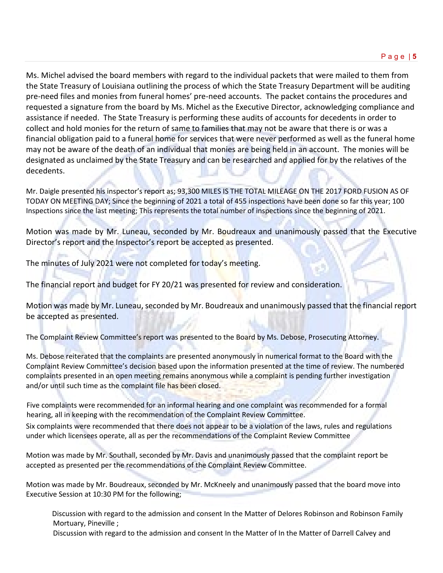Ms. Michel advised the board members with regard to the individual packets that were mailed to them from the State Treasury of Louisiana outlining the process of which the State Treasury Department will be auditing pre-need files and monies from funeral homes' pre-need accounts. The packet contains the procedures and requested a signature from the board by Ms. Michel as the Executive Director, acknowledging compliance and assistance if needed. The State Treasury is performing these audits of accounts for decedents in order to collect and hold monies for the return of same to families that may not be aware that there is or was a financial obligation paid to a funeral home for services that were never performed as well as the funeral home may not be aware of the death of an individual that monies are being held in an account. The monies will be designated as unclaimed by the State Treasury and can be researched and applied for by the relatives of the decedents.

Mr. Daigle presented his inspector's report as; 93,300 MILES IS THE TOTAL MILEAGE ON THE 2017 FORD FUSION AS OF TODAY ON MEETING DAY; Since the beginning of 2021 a total of 455 inspections have been done so far this year; 100 Inspections since the last meeting; This represents the total number of inspections since the beginning of 2021.

Motion was made by Mr. Luneau, seconded by Mr. Boudreaux and unanimously passed that the Executive Director's report and the Inspector's report be accepted as presented.

The minutes of July 2021 were not completed for today's meeting.

The financial report and budget for FY 20/21 was presented for review and consideration.

Motion was made by Mr. Luneau, seconded by Mr. Boudreaux and unanimously passed that the financial report be accepted as presented.

The Complaint Review Committee's report was presented to the Board by Ms. Debose, Prosecuting Attorney.

Ms. Debose reiterated that the complaints are presented anonymously in numerical format to the Board with the Complaint Review Committee's decision based upon the information presented at the time of review. The numbered complaints presented in an open meeting remains anonymous while a complaint is pending further investigation and/or until such time as the complaint file has been closed.

Five complaints were recommended for an informal hearing and one complaint was recommended for a formal hearing, all in keeping with the recommendation of the Complaint Review Committee.

Six complaints were recommended that there does not appear to be a violation of the laws, rules and regulations under which licensees operate, all as per the recommendations of the Complaint Review Committee

Motion was made by Mr. Southall, seconded by Mr. Davis and unanimously passed that the complaint report be accepted as presented per the recommendations of the Complaint Review Committee.

Motion was made by Mr. Boudreaux, seconded by Mr. McKneely and unanimously passed that the board move into Executive Session at 10:30 PM for the following;

Discussion with regard to the admission and consent In the Matter of Delores Robinson and Robinson Family Mortuary, Pineville ;

Discussion with regard to the admission and consent In the Matter of In the Matter of Darrell Calvey and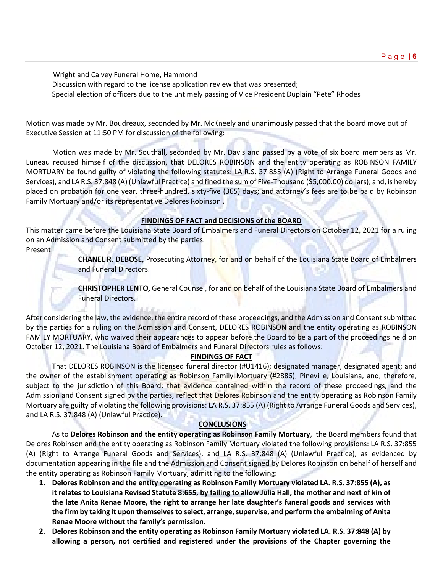Wright and Calvey Funeral Home, Hammond Discussion with regard to the license application review that was presented; Special election of officers due to the untimely passing of Vice President Duplain "Pete" Rhodes

Motion was made by Mr. Boudreaux, seconded by Mr. McKneely and unanimously passed that the board move out of Executive Session at 11:50 PM for discussion of the following:

Motion was made by Mr. Southall, seconded by Mr. Davis and passed by a vote of six board members as Mr. Luneau recused himself of the discussion, that DELORES ROBINSON and the entity operating as ROBINSON FAMILY MORTUARY be found guilty of violating the following statutes: LA R.S. 37:855 (A) (Right to Arrange Funeral Goods and Services), and LA R.S. 37:848 (A) (Unlawful Practice) and fined the sum of Five-Thousand (\$5,000.00) dollars); and, is hereby placed on probation for one year, three-hundred, sixty-five (365) days; and attorney's fees are to be paid by Robinson Family Mortuary and/or its representative Delores Robinson .

#### **FINDINGS OF FACT and DECISIONS of the BOARD**

This matter came before the Louisiana State Board of Embalmers and Funeral Directors on October 12, 2021 for a ruling on an Admission and Consent submitted by the parties.

Present:

**CHANEL R. DEBOSE,** Prosecuting Attorney, for and on behalf of the Louisiana State Board of Embalmers and Funeral Directors.

**CHRISTOPHER LENTO,** General Counsel, for and on behalf of the Louisiana State Board of Embalmers and Funeral Directors.

After considering the law, the evidence, the entire record of these proceedings, and the Admission and Consent submitted by the parties for a ruling on the Admission and Consent, DELORES ROBINSON and the entity operating as ROBINSON FAMILY MORTUARY, who waived their appearances to appear before the Board to be a part of the proceedings held on October 12, 2021. The Louisiana Board of Embalmers and Funeral Directors rules as follows:

#### **FINDINGS OF FACT**

That DELORES ROBINSON is the licensed funeral director (#U1416); designated manager, designated agent; and the owner of the establishment operating as Robinson Family Mortuary (#2886), Pineville, Louisiana, and, therefore, subject to the jurisdiction of this Board: that evidence contained within the record of these proceedings, and the Admission and Consent signed by the parties, reflect that Delores Robinson and the entity operating as Robinson Family Mortuary are guilty of violating the following provisions: LA R.S. 37:855 (A) (Right to Arrange Funeral Goods and Services), and LA R.S. 37:848 (A) (Unlawful Practice).

#### **CONCLUSIONS**

As to **Delores Robinson and the entity operating as Robinson Family Mortuary**, the Board members found that Delores Robinson and the entity operating as Robinson Family Mortuary violated the following provisions: LA R.S. 37:855 (A) (Right to Arrange Funeral Goods and Services), and LA R.S. 37:848 (A) (Unlawful Practice), as evidenced by documentation appearing in the file and the Admission and Consent signed by Delores Robinson on behalf of herself and the entity operating as Robinson Family Mortuary, admitting to the following:

- **1. Delores Robinson and the entity operating as Robinson Family Mortuary violated LA. R.S. 37:855 (A), as it relates to Louisiana Revised Statute 8:655, by failing to allow Julia Hall, the mother and next of kin of the late Anita Renae Moore, the right to arrange her late daughter's funeral goods and services with the firm by taking it upon themselves to select, arrange, supervise, and perform the embalming of Anita Renae Moore without the family's permission.**
- **2. Delores Robinson and the entity operating as Robinson Family Mortuary violated LA. R.S. 37:848 (A) by allowing a person, not certified and registered under the provisions of the Chapter governing the**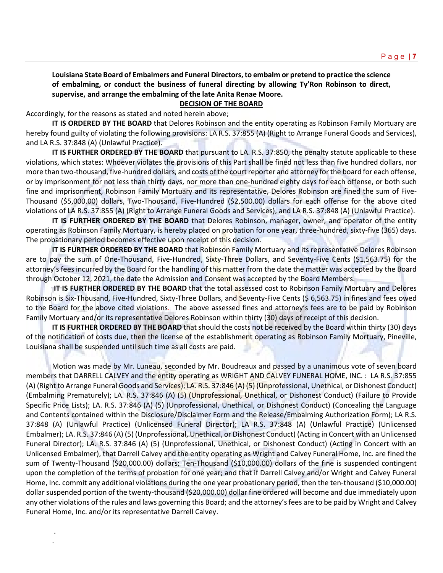### **Louisiana State Board of Embalmers and Funeral Directors, to embalm or pretend to practice the science of embalming, or conduct the business of funeral directing by allowing Ty'Ron Robinson to direct, supervise, and arrange the embalming of the late Anita Renae Moore.**

## **DECISION OF THE BOARD**

Accordingly, for the reasons as stated and noted herein above;

. .

**IT IS ORDERED BY THE BOARD** that Delores Robinson and the entity operating as Robinson Family Mortuary are hereby found guilty of violating the following provisions: LA R.S. 37:855 (A) (Right to Arrange Funeral Goods and Services), and LA R.S. 37:848 (A) (Unlawful Practice).

**IT IS FURTHER ORDERED BY THE BOARD** that pursuant to LA. R.S. 37:850, the penalty statute applicable to these violations, which states: Whoever violates the provisions of this Part shall be fined not less than five hundred dollars, nor more than two-thousand, five-hundred dollars, and costs of the court reporter and attorney for the board for each offense, or by imprisonment for not less than thirty days, nor more than one-hundred eighty days for each offense, or both such fine and imprisonment, Robinson Family Mortuary and its representative, Delores Robinson are fined the sum of Five-Thousand (\$5,000.00) dollars, Two-Thousand, Five-Hundred (\$2,500.00) dollars for each offense for the above cited violations of LA R.S. 37:855 (A) (Right to Arrange Funeral Goods and Services), and LA R.S. 37:848 (A) (Unlawful Practice).

**IT IS FURTHER ORDERED BY THE BOARD** that Delores Robinson, manager, owner, and operator of the entity operating as Robinson Family Mortuary, is hereby placed on probation for one year, three-hundred, sixty-five (365) days. The probationary period becomes effective upon receipt of this decision.

**IT IS FURTHER ORDERED BY THE BOARD** that Robinson Family Mortuary and its representative Delores Robinson are to pay the sum of One-Thousand, Five-Hundred, Sixty-Three Dollars, and Seventy-Five Cents (\$1,563.75) for the attorney's fees incurred by the Board for the handling of this matter from the date the matter was accepted by the Board through October 12, 2021, the date the Admission and Consent was accepted by the Board Members.

**IT IS FURTHER ORDERED BY THE BOARD** that the total assessed cost to Robinson Family Mortuary and Delores Robinson is Six-Thousand, Five-Hundred, Sixty-Three Dollars, and Seventy-Five Cents (\$ 6,563.75) in fines and fees owed to the Board for the above cited violations. The above assessed fines and attorney's fees are to be paid by Robinson Family Mortuary and/or its representative Delores Robinson within thirty (30) days of receipt of this decision.

**IT IS FURTHER ORDERED BY THE BOARD** that should the costs not be received by the Board within thirty (30) days of the notification of costs due, then the license of the establishment operating as Robinson Family Mortuary, Pineville, Louisiana shall be suspended until such time as all costs are paid.

Motion was made by Mr. Luneau, seconded by Mr. Boudreaux and passed by a unanimous vote of seven board members that DARRELL CALVEY and the entity operating as WRIGHT AND CALVEY FUNERAL HOME, INC. : LA R.S. 37:855 (A) (Right to Arrange Funeral Goods and Services); LA. R.S. 37:846 (A) (5) (Unprofessional, Unethical, or Dishonest Conduct) (Embalming Prematurely); LA. R.S. 37:846 (A) (5) (Unprofessional, Unethical, or Dishonest Conduct) (Failure to Provide Specific Price Lists); LA. R.S. 37:846 (A) (5) (Unprofessional, Unethical, or Dishonest Conduct) (Concealing the Language and Contents contained within the Disclosure/Disclaimer Form and the Release/Embalming Authorization Form); LA R.S. 37:848 (A) (Unlawful Practice) (Unlicensed Funeral Director); LA R.S. 37:848 (A) (Unlawful Practice) (Unlicensed Embalmer); LA. R.S. 37:846 (A) (5) (Unprofessional, Unethical, or Dishonest Conduct) (Acting in Concert with an Unlicensed Funeral Director); LA. R.S. 37:846 (A) (5) (Unprofessional, Unethical, or Dishonest Conduct) (Acting in Concert with an Unlicensed Embalmer), that Darrell Calvey and the entity operating as Wright and Calvey Funeral Home, Inc. are fined the sum of Twenty-Thousand (\$20,000.00) dollars; Ten-Thousand (\$10,000.00) dollars of the fine is suspended contingent upon the completion of the terms of probation for one year; and that if Darrell Calvey and/or Wright and Calvey Funeral Home, Inc. commit any additional violations during the one year probationary period, then the ten-thousand (\$10,000.00) dollar suspended portion of the twenty-thousand (\$20,000.00) dollar fine ordered will become and due immediately upon any other violations of the rules and laws governing this Board; and the attorney's fees are to be paid by Wright and Calvey Funeral Home, Inc. and/or its representative Darrell Calvey.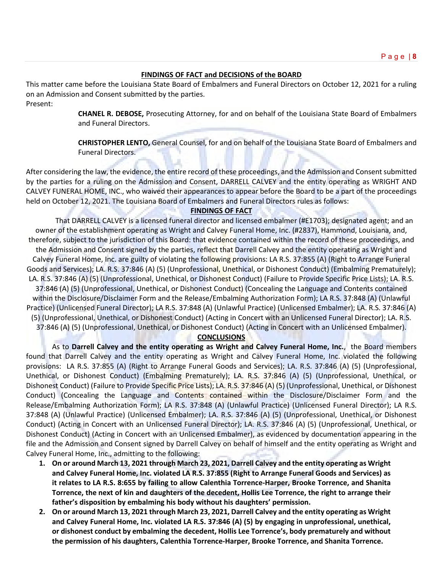#### **FINDINGS OF FACT and DECISIONS of the BOARD**

This matter came before the Louisiana State Board of Embalmers and Funeral Directors on October 12, 2021 for a ruling on an Admission and Consent submitted by the parties.

Present:

**CHANEL R. DEBOSE,** Prosecuting Attorney, for and on behalf of the Louisiana State Board of Embalmers and Funeral Directors.

**CHRISTOPHER LENTO,** General Counsel, for and on behalf of the Louisiana State Board of Embalmers and Funeral Directors.

After considering the law, the evidence, the entire record of these proceedings, and the Admission and Consent submitted by the parties for a ruling on the Admission and Consent, DARRELL CALVEY and the entity operating as WRIGHT AND CALVEY FUNERAL HOME, INC., who waived their appearances to appear before the Board to be a part of the proceedings held on October 12, 2021. The Louisiana Board of Embalmers and Funeral Directors rules as follows:

#### **FINDINGS OF FACT**

That DARRELL CALVEY is a licensed funeral director and licensed embalmer (#E1703); designated agent; and an owner of the establishment operating as Wright and Calvey Funeral Home, Inc. (#2837), Hammond, Louisiana, and, therefore, subject to the jurisdiction of this Board: that evidence contained within the record of these proceedings, and the Admission and Consent signed by the parties, reflect that Darrell Calvey and the entity operating as Wright and Calvey Funeral Home, Inc. are guilty of violating the following provisions: LA R.S. 37:855 (A) (Right to Arrange Funeral Goods and Services); LA. R.S. 37:846 (A) (5) (Unprofessional, Unethical, or Dishonest Conduct) (Embalming Prematurely); LA. R.S. 37:846 (A) (5) (Unprofessional, Unethical, or Dishonest Conduct) (Failure to Provide Specific Price Lists); LA. R.S. 37:846 (A) (5) (Unprofessional, Unethical, or Dishonest Conduct) (Concealing the Language and Contents contained within the Disclosure/Disclaimer Form and the Release/Embalming Authorization Form); LA R.S. 37:848 (A) (Unlawful Practice) (Unlicensed Funeral Director); LA R.S. 37:848 (A) (Unlawful Practice) (Unlicensed Embalmer); LA. R.S. 37:846 (A)

(5) (Unprofessional, Unethical, or Dishonest Conduct) (Acting in Concert with an Unlicensed Funeral Director); LA. R.S. 37:846 (A) (5) (Unprofessional, Unethical, or Dishonest Conduct) (Acting in Concert with an Unlicensed Embalmer).

#### **CONCLUSIONS**

As to **Darrell Calvey and the entity operating as Wright and Calvey Funeral Home, Inc.**, the Board members found that Darrell Calvey and the entity operating as Wright and Calvey Funeral Home, Inc. violated the following provisions: LA R.S. 37:855 (A) (Right to Arrange Funeral Goods and Services); LA. R.S. 37:846 (A) (5) (Unprofessional, Unethical, or Dishonest Conduct) (Embalming Prematurely); LA. R.S. 37:846 (A) (5) (Unprofessional, Unethical, or Dishonest Conduct) (Failure to Provide Specific Price Lists); LA. R.S. 37:846 (A) (5) (Unprofessional, Unethical, or Dishonest Conduct) (Concealing the Language and Contents contained within the Disclosure/Disclaimer Form and the Release/Embalming Authorization Form); LA R.S. 37:848 (A) (Unlawful Practice) (Unlicensed Funeral Director); LA R.S. 37:848 (A) (Unlawful Practice) (Unlicensed Embalmer); LA. R.S. 37:846 (A) (5) (Unprofessional, Unethical, or Dishonest Conduct) (Acting in Concert with an Unlicensed Funeral Director); LA. R.S. 37:846 (A) (5) (Unprofessional, Unethical, or Dishonest Conduct) (Acting in Concert with an Unlicensed Embalmer), as evidenced by documentation appearing in the file and the Admission and Consent signed by Darrell Calvey on behalf of himself and the entity operating as Wright and Calvey Funeral Home, Inc., admitting to the following:

- **1. On or around March 13, 2021 through March 23, 2021, Darrell Calvey and the entity operating as Wright and Calvey Funeral Home, Inc. violated LA R.S. 37:855 (Right to Arrange Funeral Goods and Services) as it relates to LA R.S. 8:655 by failing to allow Calenthia Torrence-Harper, Brooke Torrence, and Shanita Torrence, the next of kin and daughters of the decedent, Hollis Lee Torrence, the right to arrange their father's disposition by embalming his body without his daughters' permission.**
- **2. On or around March 13, 2021 through March 23, 2021, Darrell Calvey and the entity operating as Wright and Calvey Funeral Home, Inc. violated LA R.S. 37:846 (A) (5) by engaging in unprofessional, unethical, or dishonest conduct by embalming the decedent, Hollis Lee Torrence's, body prematurely and without the permission of his daughters, Calenthia Torrence-Harper, Brooke Torrence, and Shanita Torrence.**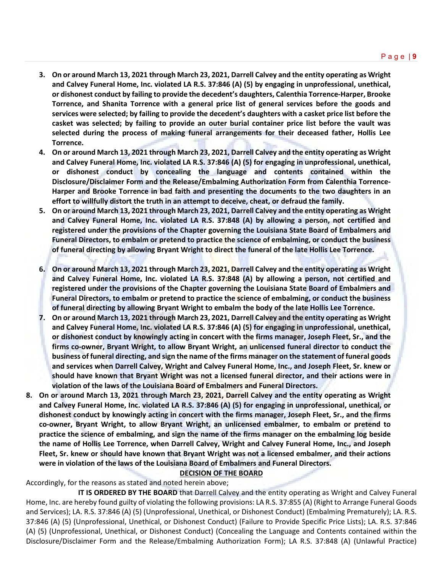- **3. On or around March 13, 2021 through March 23, 2021, Darrell Calvey and the entity operating as Wright and Calvey Funeral Home, Inc. violated LA R.S. 37:846 (A) (5) by engaging in unprofessional, unethical, or dishonest conduct by failing to provide the decedent's daughters, Calenthia Torrence-Harper, Brooke Torrence, and Shanita Torrence with a general price list of general services before the goods and services were selected; by failing to provide the decedent's daughters with a casket price list before the casket was selected; by failing to provide an outer burial container price list before the vault was selected during the process of making funeral arrangements for their deceased father, Hollis Lee Torrence.**
- **4. On or around March 13, 2021 through March 23, 2021, Darrell Calvey and the entity operating as Wright and Calvey Funeral Home, Inc. violated LA R.S. 37:846 (A) (5) for engaging in unprofessional, unethical, or dishonest conduct by concealing the language and contents contained within the Disclosure/Disclaimer Form and the Release/Embalming Authorization Form from Calenthia Torrence-Harper and Brooke Torrence in bad faith and presenting the documents to the two daughters in an effort to willfully distort the truth in an attempt to deceive, cheat, or defraud the family.**
- **5. On or around March 13, 2021 through March 23, 2021, Darrell Calvey and the entity operating as Wright and Calvey Funeral Home, Inc. violated LA R.S. 37:848 (A) by allowing a person, not certified and registered under the provisions of the Chapter governing the Louisiana State Board of Embalmers and Funeral Directors, to embalm or pretend to practice the science of embalming, or conduct the business of funeral directing by allowing Bryant Wright to direct the funeral of the late Hollis Lee Torrence.**
- **6. On or around March 13, 2021 through March 23, 2021, Darrell Calvey and the entity operating as Wright and Calvey Funeral Home, Inc. violated LA R.S. 37:848 (A) by allowing a person, not certified and registered under the provisions of the Chapter governing the Louisiana State Board of Embalmers and Funeral Directors, to embalm or pretend to practice the science of embalming, or conduct the business of funeral directing by allowing Bryant Wright to embalm the body of the late Hollis Lee Torrence.**
- **7. On or around March 13, 2021 through March 23, 2021, Darrell Calvey and the entity operating as Wright and Calvey Funeral Home, Inc. violated LA R.S. 37:846 (A) (5) for engaging in unprofessional, unethical, or dishonest conduct by knowingly acting in concert with the firms manager, Joseph Fleet, Sr., and the firms co-owner, Bryant Wright, to allow Bryant Wright, an unlicensed funeral director to conduct the business of funeral directing, and sign the name of the firms manager on the statement of funeral goods and services when Darrell Calvey, Wright and Calvey Funeral Home, Inc., and Joseph Fleet, Sr. knew or should have known that Bryant Wright was not a licensed funeral director, and their actions were in violation of the laws of the Louisiana Board of Embalmers and Funeral Directors.**
- **8. On or around March 13, 2021 through March 23, 2021, Darrell Calvey and the entity operating as Wright and Calvey Funeral Home, Inc. violated LA R.S. 37:846 (A) (5) for engaging in unprofessional, unethical, or dishonest conduct by knowingly acting in concert with the firms manager, Joseph Fleet, Sr., and the firms co-owner, Bryant Wright, to allow Bryant Wright, an unlicensed embalmer, to embalm or pretend to practice the science of embalming, and sign the name of the firms manager on the embalming log beside the name of Hollis Lee Torrence, when Darrell Calvey, Wright and Calvey Funeral Home, Inc., and Joseph Fleet, Sr. knew or should have known that Bryant Wright was not a licensed embalmer, and their actions were in violation of the laws of the Louisiana Board of Embalmers and Funeral Directors.**

#### **DECISION OF THE BOARD**

Accordingly, for the reasons as stated and noted herein above;

**IT IS ORDERED BY THE BOARD** that Darrell Calvey and the entity operating as Wright and Calvey Funeral Home, Inc. are hereby found guilty of violating the following provisions: LA R.S. 37:855 (A) (Right to Arrange Funeral Goods and Services); LA. R.S. 37:846 (A) (5) (Unprofessional, Unethical, or Dishonest Conduct) (Embalming Prematurely); LA. R.S. 37:846 (A) (5) (Unprofessional, Unethical, or Dishonest Conduct) (Failure to Provide Specific Price Lists); LA. R.S. 37:846 (A) (5) (Unprofessional, Unethical, or Dishonest Conduct) (Concealing the Language and Contents contained within the Disclosure/Disclaimer Form and the Release/Embalming Authorization Form); LA R.S. 37:848 (A) (Unlawful Practice)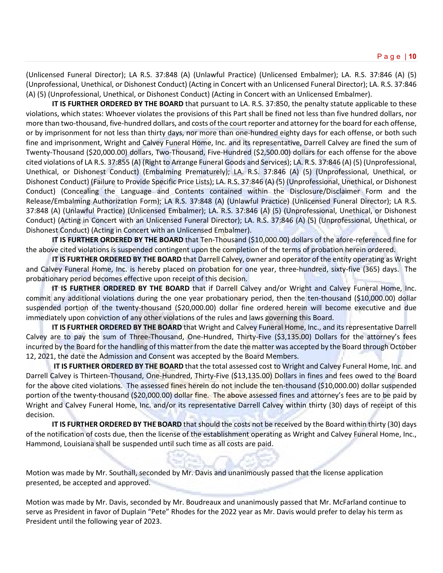(Unlicensed Funeral Director); LA R.S. 37:848 (A) (Unlawful Practice) (Unlicensed Embalmer); LA. R.S. 37:846 (A) (5) (Unprofessional, Unethical, or Dishonest Conduct) (Acting in Concert with an Unlicensed Funeral Director); LA. R.S. 37:846 (A) (5) (Unprofessional, Unethical, or Dishonest Conduct) (Acting in Concert with an Unlicensed Embalmer).

**IT IS FURTHER ORDERED BY THE BOARD** that pursuant to LA. R.S. 37:850, the penalty statute applicable to these violations, which states: Whoever violates the provisions of this Part shall be fined not less than five hundred dollars, nor more than two-thousand, five-hundred dollars, and costs of the court reporter and attorney for the board for each offense, or by imprisonment for not less than thirty days, nor more than one-hundred eighty days for each offense, or both such fine and imprisonment, Wright and Calvey Funeral Home, Inc. and its representative, Darrell Calvey are fined the sum of Twenty-Thousand (\$20,000.00) dollars, Two-Thousand, Five-Hundred (\$2,500.00) dollars for each offense for the above cited violations of LA R.S. 37:855 (A) (Right to Arrange Funeral Goods and Services); LA. R.S. 37:846 (A) (5) (Unprofessional, Unethical, or Dishonest Conduct) (Embalming Prematurely); LA. R.S. 37:846 (A) (5) (Unprofessional, Unethical, or Dishonest Conduct) (Failure to Provide Specific Price Lists); LA. R.S. 37:846 (A) (5) (Unprofessional, Unethical, or Dishonest Conduct) (Concealing the Language and Contents contained within the Disclosure/Disclaimer Form and the Release/Embalming Authorization Form); LA R.S. 37:848 (A) (Unlawful Practice) (Unlicensed Funeral Director); LA R.S. 37:848 (A) (Unlawful Practice) (Unlicensed Embalmer); LA. R.S. 37:846 (A) (5) (Unprofessional, Unethical, or Dishonest Conduct) (Acting in Concert with an Unlicensed Funeral Director); LA. R.S. 37:846 (A) (5) (Unprofessional, Unethical, or Dishonest Conduct) (Acting in Concert with an Unlicensed Embalmer).

**IT IS FURTHER ORDERED BY THE BOARD** that Ten-Thousand (\$10,000.00) dollars of the afore-referenced fine for the above cited violations is suspended contingent upon the completion of the terms of probation herein ordered.

**IT IS FURTHER ORDERED BY THE BOARD** that Darrell Calvey, owner and operator of the entity operating as Wright and Calvey Funeral Home, Inc. is hereby placed on probation for one year, three-hundred, sixty-five (365) days. The probationary period becomes effective upon receipt of this decision.

**IT IS FURTHER ORDERED BY THE BOARD** that if Darrell Calvey and/or Wright and Calvey Funeral Home, Inc. commit any additional violations during the one year probationary period, then the ten-thousand (\$10,000.00) dollar suspended portion of the twenty-thousand (\$20,000.00) dollar fine ordered herein will become executive and due immediately upon conviction of any other violations of the rules and laws governing this Board.

**IT IS FURTHER ORDERED BY THE BOARD** that Wright and Calvey Funeral Home, Inc., and its representative Darrell Calvey are to pay the sum of Three-Thousand, One-Hundred, Thirty-Five (\$3,135.00) Dollars for the attorney's fees incurred by the Board for the handling of this matter from the date the matter was accepted by the Board through October 12, 2021, the date the Admission and Consent was accepted by the Board Members.

**IT IS FURTHER ORDERED BY THE BOARD** that the total assessed cost to Wright and Calvey Funeral Home, Inc. and Darrell Calvey is Thirteen-Thousand, One-Hundred, Thirty-Five (\$13,135.00) Dollars in fines and fees owed to the Board for the above cited violations. The assessed fines herein do not include the ten-thousand (\$10,000.00) dollar suspended portion of the twenty-thousand (\$20,000.00) dollar fine. The above assessed fines and attorney's fees are to be paid by Wright and Calvey Funeral Home, Inc. and/or its representative Darrell Calvey within thirty (30) days of receipt of this decision.

**IT IS FURTHER ORDERED BY THE BOARD** that should the costs not be received by the Board within thirty (30) days of the notification of costs due, then the license of the establishment operating as Wright and Calvey Funeral Home, Inc., Hammond, Louisiana shall be suspended until such time as all costs are paid.

Motion was made by Mr. Southall, seconded by Mr. Davis and unanimously passed that the license application presented, be accepted and approved.

Motion was made by Mr. Davis, seconded by Mr. Boudreaux and unanimously passed that Mr. McFarland continue to serve as President in favor of Duplain "Pete" Rhodes for the 2022 year as Mr. Davis would prefer to delay his term as President until the following year of 2023.